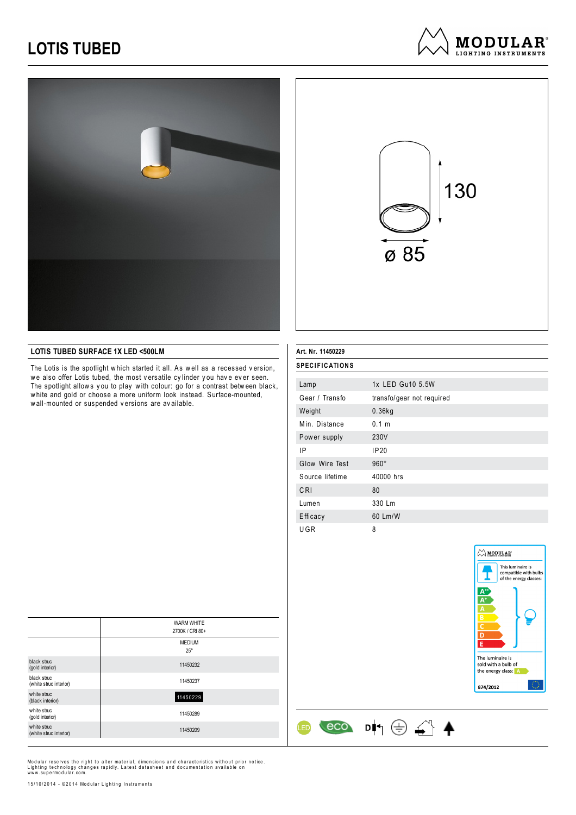## **LOTIS TUBED**





### **LOTIS TUBED SURFACE 1X LED <500LM**

The Lotis is the spotlight which started it all. As well as a recessed version, we also offer Lotis tubed, the most versatile cylinder you have ever seen. The spotlight allows you to play with colour: go for a contrast between black, w hite and gold or choose a more uniform look instead. Surface-mounted, w all-mounted or suspended v ersions are av ailable.

### **Art. Nr. 11450229**

| <b>SPECIFICATIONS</b> |                           |
|-----------------------|---------------------------|
| Lamp                  | 1x LED Gu10 5.5W          |
| Gear / Transfo        | transfo/gear not required |
| Weight                | $0.36$ kg                 |
| Min. Distance         | 0.1 <sub>m</sub>          |
| Power supply          | 230V                      |
| ΙP                    | IP20                      |
| Glow Wire Test        | $960^\circ$               |
| Source lifetime       | 40000 hrs                 |
| CRI                   | 80                        |
| Lumen                 | 330 Lm                    |
| Efficacy              | 60 Lm/W                   |
| UGR                   | 8                         |

 $\leftarrow$   $\leftarrow$   $\leftarrow$   $\leftarrow$   $\leftarrow$   $\leftarrow$   $\leftarrow$ 

**ED** 



|                                       | <b>WARM WHITE</b><br>2700K / CRI 80+ |
|---------------------------------------|--------------------------------------|
|                                       | <b>MEDIUM</b><br>$25^{\circ}$        |
| black struc<br>(gold interior)        | 11450232                             |
| black struc<br>(white struc interior) | 11450237                             |
| white struc<br>(black interior)       | 11450229                             |
| white struc<br>(gold interior)        | 11450289                             |
| white struc<br>(white struc interior) | 11450209                             |

Modular reserves the right to alter material, dimensions and characteristics without prior notice.<br>Lighting technology changes rapidly. Latest datasheet and documentation available on<br>www.supermodular.com.

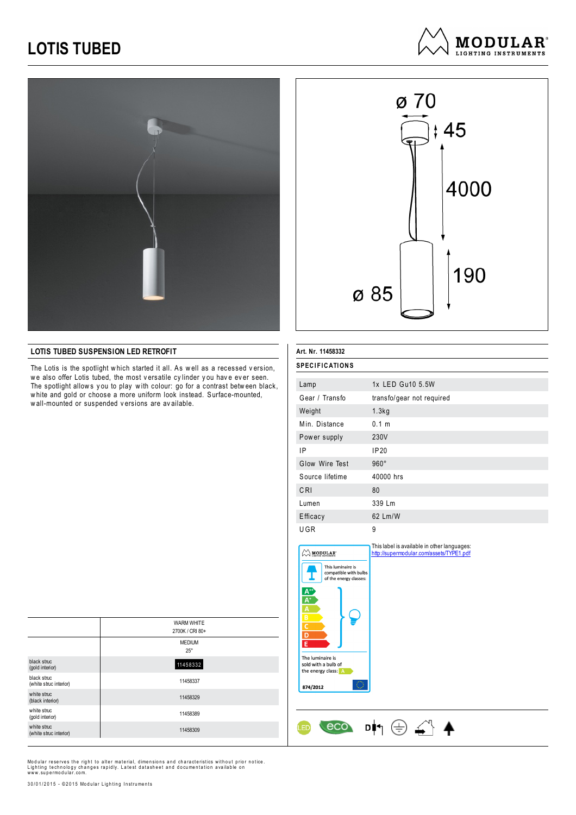## **LOTIS TUBED**



# ø 70  $; 45$ 4000 190 ø 85

**MODULAR**<sup>®</sup> LIGHTING INSTRUMENTS

### **LOTIS TUBED SUSPENSION LED RETROFIT**

The Lotis is the spotlight which started it all. As well as a recessed version, we also offer Lotis tubed, the most versatile cylinder you have ever seen. The spotlight allows you to play with colour: go for a contrast between black, w hite and gold or choose a more uniform look instead. Surface-mounted, w all-mounted or suspended v ersions are av ailable.

| Art. Nr. 11458332     |                           |
|-----------------------|---------------------------|
| <b>SPECIFICATIONS</b> |                           |
| Lamp                  | 1x LED Gu10 5.5W          |
| Gear / Transfo        | transfo/gear not required |
| Weight                | 1.3kg                     |
| Min. Distance         | 0.1 m                     |
| Power supply          | 230V                      |
| IP                    | IP20                      |
| Glow Wire Test        | $960^\circ$               |
| Source lifetime       | 40000 hrs                 |
| CRI                   | 80                        |
| Lumen                 | 339 Lm                    |
| Efficacy              | 62 Lm/W                   |
| UGR                   | 9                         |



Ŀ

<u>(ED</u>

The luminaire is sold with a bulb of the energy class: A 874/2012

This label is available in other languages: http://supermodular.com/assets/TYPE1.pdf

 $\cos$   $\cos$   $\frac{1}{2}$ 

|                                       | <b>WARM WHITE</b><br>2700K / CRI 80+ |
|---------------------------------------|--------------------------------------|
|                                       | <b>MEDIUM</b><br>$25^{\circ}$        |
| black struc<br>(gold interior)        | 11458332                             |
| black struc<br>(white struc interior) | 11458337                             |
| white struc<br>(black interior)       | 11458329                             |
| white struc<br>(gold interior)        | 11458389                             |
| white struc<br>(white struc interior) | 11458309                             |

Modular reserves the right to alter material, dimensions and characteristics without prior notice.<br>Lighting technology changes rapidly. Latest datasheet and documentation available on<br>www.supermodular.com.

30/01/2015 - ©2015 Modular Lighting Instruments